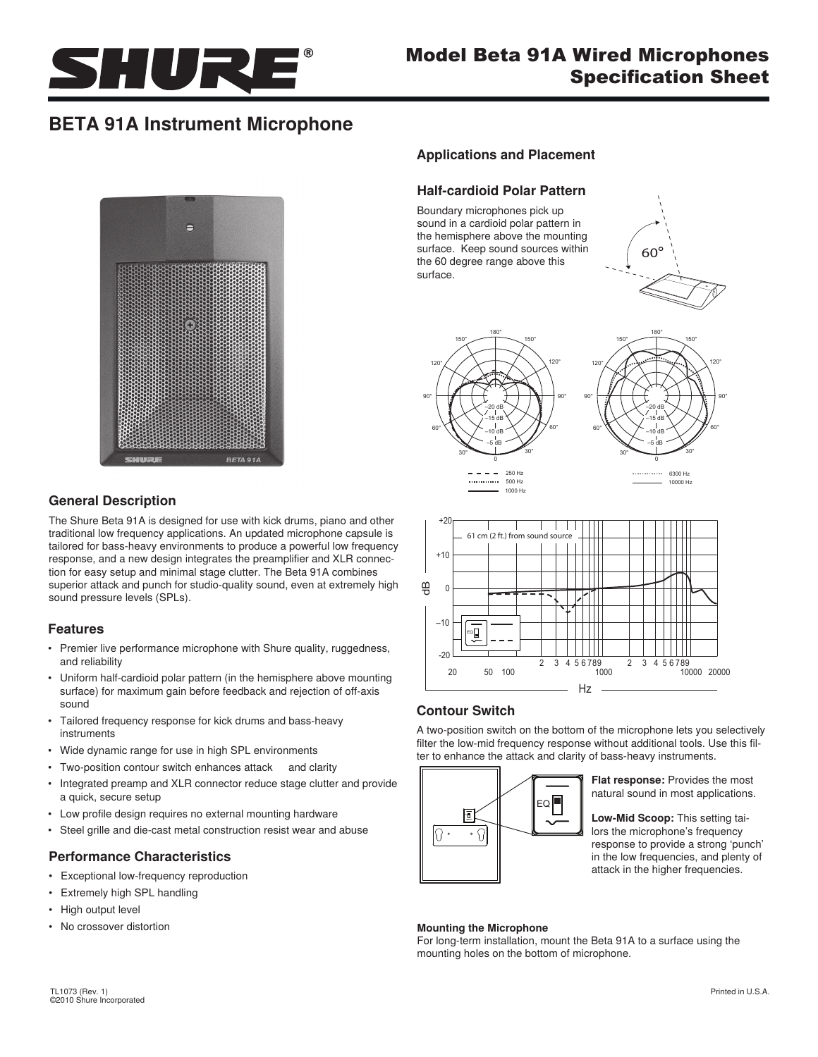

# Model Beta 91A Wired Microphones Specification Sheet

# **BETA 91A Instrument Microphone**



## **General Description**

The Shure Beta 91A is designed for use with kick drums, piano and other traditional low frequency applications. An updated microphone capsule is tailored for bass-heavy environments to produce a powerful low frequency response, and a new design integrates the preamplifier and XLR connection for easy setup and minimal stage clutter. The Beta 91A combines superior attack and punch for studio-quality sound, even at extremely high sound pressure levels (SPLs).

#### **Features**

- Premier live performance microphone with Shure quality, ruggedness, and reliability
- Uniform half-cardioid polar pattern (in the hemisphere above mounting surface) for maximum gain before feedback and rejection of off-axis sound
- • Tailored frequency response for kick drums and bass-heavy instruments
- Wide dynamic range for use in high SPL environments
- Two-position contour switch enhances attack and clarity
- Integrated preamp and XLR connector reduce stage clutter and provide a quick, secure setup
- Low profile design requires no external mounting hardware
- Steel grille and die-cast metal construction resist wear and abuse

#### **Performance Characteristics**

- • Exceptional low-frequency reproduction
- • Extremely high SPL handling
- High output level
- • No crossover distortion

# **Applications and Placement**

### **Half-cardioid Polar Pattern**

Boundary microphones pick up sound in a cardioid polar pattern in the hemisphere above the mounting surface. Keep sound sources within the 60 degree range above this surface.





1000 Hz





## **Contour Switch**

A two-position switch on the bottom of the microphone lets you selectively filter the low-mid frequency response without additional tools. Use this filter to enhance the attack and clarity of bass-heavy instruments.



**Flat response:** Provides the most natural sound in most applications.

**Low-Mid Scoop:** This setting tailors the microphone's frequency response to provide a strong 'punch' in the low frequencies, and plenty of attack in the higher frequencies.

#### **Mounting the Microphone**

For long-term installation, mount the Beta 91A to a surface using the mounting holes on the bottom of microphone.